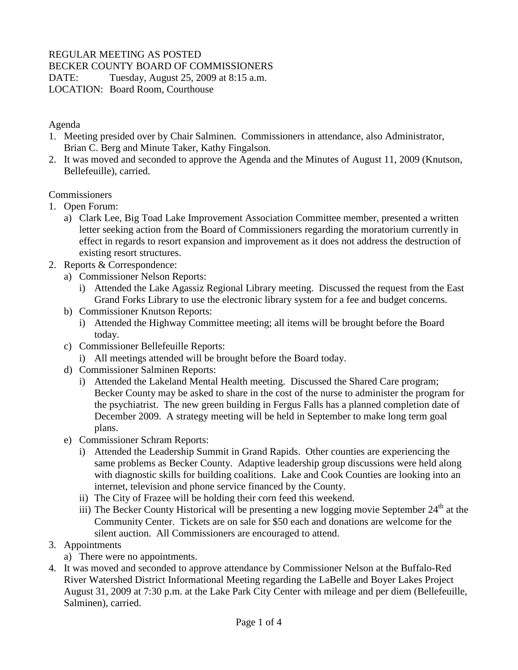## REGULAR MEETING AS POSTED

BECKER COUNTY BOARD OF COMMISSIONERS

DATE: Tuesday, August 25, 2009 at 8:15 a.m.

LOCATION: Board Room, Courthouse

#### Agenda

- 1. Meeting presided over by Chair Salminen. Commissioners in attendance, also Administrator, Brian C. Berg and Minute Taker, Kathy Fingalson.
- 2. It was moved and seconded to approve the Agenda and the Minutes of August 11, 2009 (Knutson, Bellefeuille), carried.

#### Commissioners

- 1. Open Forum:
	- a) Clark Lee, Big Toad Lake Improvement Association Committee member, presented a written letter seeking action from the Board of Commissioners regarding the moratorium currently in effect in regards to resort expansion and improvement as it does not address the destruction of existing resort structures.
- 2. Reports & Correspondence:
	- a) Commissioner Nelson Reports:
		- i) Attended the Lake Agassiz Regional Library meeting. Discussed the request from the East Grand Forks Library to use the electronic library system for a fee and budget concerns.
	- b) Commissioner Knutson Reports:
		- i) Attended the Highway Committee meeting; all items will be brought before the Board today.
	- c) Commissioner Bellefeuille Reports:
		- i) All meetings attended will be brought before the Board today.
	- d) Commissioner Salminen Reports:
		- i) Attended the Lakeland Mental Health meeting. Discussed the Shared Care program; Becker County may be asked to share in the cost of the nurse to administer the program for the psychiatrist. The new green building in Fergus Falls has a planned completion date of December 2009. A strategy meeting will be held in September to make long term goal plans.
	- e) Commissioner Schram Reports:
		- i) Attended the Leadership Summit in Grand Rapids. Other counties are experiencing the same problems as Becker County. Adaptive leadership group discussions were held along with diagnostic skills for building coalitions. Lake and Cook Counties are looking into an internet, television and phone service financed by the County.
		- ii) The City of Frazee will be holding their corn feed this weekend.
		- iii) The Becker County Historical will be presenting a new logging movie September  $24<sup>th</sup>$  at the Community Center. Tickets are on sale for \$50 each and donations are welcome for the silent auction. All Commissioners are encouraged to attend.

### 3. Appointments

- a) There were no appointments.
- 4. It was moved and seconded to approve attendance by Commissioner Nelson at the Buffalo-Red River Watershed District Informational Meeting regarding the LaBelle and Boyer Lakes Project August 31, 2009 at 7:30 p.m. at the Lake Park City Center with mileage and per diem (Bellefeuille, Salminen), carried.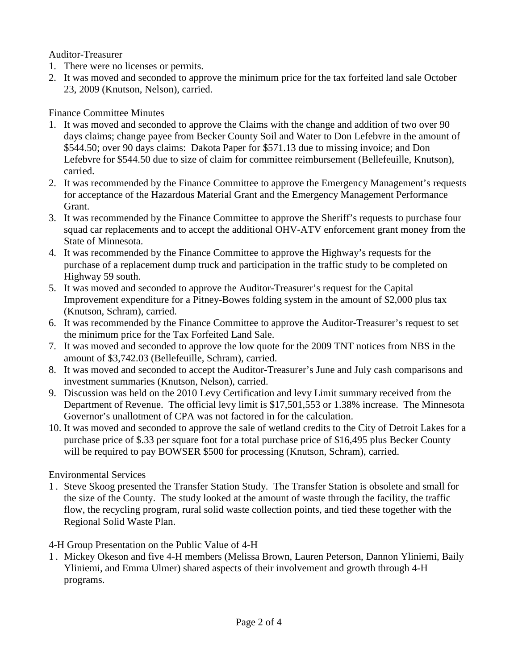Auditor-Treasurer

- 1. There were no licenses or permits.
- 2. It was moved and seconded to approve the minimum price for the tax forfeited land sale October 23, 2009 (Knutson, Nelson), carried.

## Finance Committee Minutes

- 1. It was moved and seconded to approve the Claims with the change and addition of two over 90 days claims; change payee from Becker County Soil and Water to Don Lefebvre in the amount of \$544.50; over 90 days claims: Dakota Paper for \$571.13 due to missing invoice; and Don Lefebvre for \$544.50 due to size of claim for committee reimbursement (Bellefeuille, Knutson), carried.
- 2. It was recommended by the Finance Committee to approve the Emergency Management's requests for acceptance of the Hazardous Material Grant and the Emergency Management Performance Grant.
- 3. It was recommended by the Finance Committee to approve the Sheriff's requests to purchase four squad car replacements and to accept the additional OHV-ATV enforcement grant money from the State of Minnesota.
- 4. It was recommended by the Finance Committee to approve the Highway's requests for the purchase of a replacement dump truck and participation in the traffic study to be completed on Highway 59 south.
- 5. It was moved and seconded to approve the Auditor-Treasurer's request for the Capital Improvement expenditure for a Pitney-Bowes folding system in the amount of \$2,000 plus tax (Knutson, Schram), carried.
- 6. It was recommended by the Finance Committee to approve the Auditor-Treasurer's request to set the minimum price for the Tax Forfeited Land Sale.
- 7. It was moved and seconded to approve the low quote for the 2009 TNT notices from NBS in the amount of \$3,742.03 (Bellefeuille, Schram), carried.
- 8. It was moved and seconded to accept the Auditor-Treasurer's June and July cash comparisons and investment summaries (Knutson, Nelson), carried.
- 9. Discussion was held on the 2010 Levy Certification and levy Limit summary received from the Department of Revenue. The official levy limit is \$17,501,553 or 1.38% increase. The Minnesota Governor's unallotment of CPA was not factored in for the calculation.
- 10. It was moved and seconded to approve the sale of wetland credits to the City of Detroit Lakes for a purchase price of \$.33 per square foot for a total purchase price of \$16,495 plus Becker County will be required to pay BOWSER \$500 for processing (Knutson, Schram), carried.

# Environmental Services

1 . Steve Skoog presented the Transfer Station Study. The Transfer Station is obsolete and small for the size of the County. The study looked at the amount of waste through the facility, the traffic flow, the recycling program, rural solid waste collection points, and tied these together with the Regional Solid Waste Plan.

# 4-H Group Presentation on the Public Value of 4-H

1 . Mickey Okeson and five 4-H members (Melissa Brown, Lauren Peterson, Dannon Yliniemi, Baily Yliniemi, and Emma Ulmer) shared aspects of their involvement and growth through 4-H programs.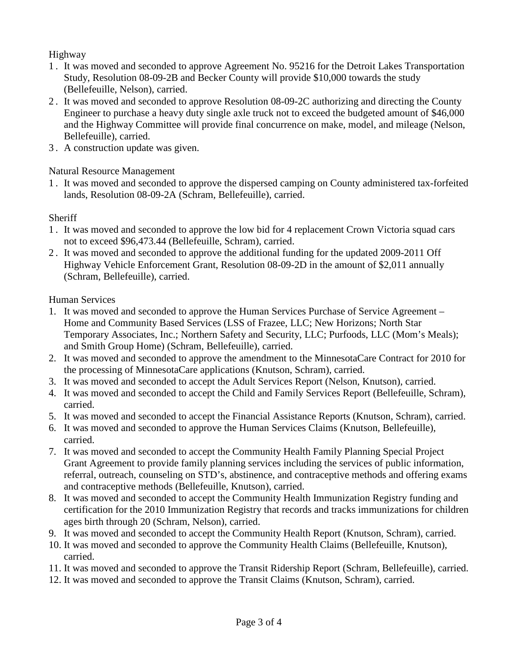# Highway

- 1 . It was moved and seconded to approve Agreement No. 95216 for the Detroit Lakes Transportation Study, Resolution 08-09-2B and Becker County will provide \$10,000 towards the study (Bellefeuille, Nelson), carried.
- 2 . It was moved and seconded to approve Resolution 08-09-2C authorizing and directing the County Engineer to purchase a heavy duty single axle truck not to exceed the budgeted amount of \$46,000 and the Highway Committee will provide final concurrence on make, model, and mileage (Nelson, Bellefeuille), carried.
- 3 . A construction update was given.

### Natural Resource Management

1 . It was moved and seconded to approve the dispersed camping on County administered tax-forfeited lands, Resolution 08-09-2A (Schram, Bellefeuille), carried.

### **Sheriff**

- 1 . It was moved and seconded to approve the low bid for 4 replacement Crown Victoria squad cars not to exceed \$96,473.44 (Bellefeuille, Schram), carried.
- 2 . It was moved and seconded to approve the additional funding for the updated 2009-2011 Off Highway Vehicle Enforcement Grant, Resolution 08-09-2D in the amount of \$2,011 annually (Schram, Bellefeuille), carried.

### Human Services

- 1. It was moved and seconded to approve the Human Services Purchase of Service Agreement Home and Community Based Services (LSS of Frazee, LLC; New Horizons; North Star Temporary Associates, Inc.; Northern Safety and Security, LLC; Purfoods, LLC (Mom's Meals); and Smith Group Home) (Schram, Bellefeuille), carried.
- 2. It was moved and seconded to approve the amendment to the MinnesotaCare Contract for 2010 for the processing of MinnesotaCare applications (Knutson, Schram), carried.
- 3. It was moved and seconded to accept the Adult Services Report (Nelson, Knutson), carried.
- 4. It was moved and seconded to accept the Child and Family Services Report (Bellefeuille, Schram), carried.
- 5. It was moved and seconded to accept the Financial Assistance Reports (Knutson, Schram), carried.
- 6. It was moved and seconded to approve the Human Services Claims (Knutson, Bellefeuille), carried.
- 7. It was moved and seconded to accept the Community Health Family Planning Special Project Grant Agreement to provide family planning services including the services of public information, referral, outreach, counseling on STD's, abstinence, and contraceptive methods and offering exams and contraceptive methods (Bellefeuille, Knutson), carried.
- 8. It was moved and seconded to accept the Community Health Immunization Registry funding and certification for the 2010 Immunization Registry that records and tracks immunizations for children ages birth through 20 (Schram, Nelson), carried.
- 9. It was moved and seconded to accept the Community Health Report (Knutson, Schram), carried.
- 10. It was moved and seconded to approve the Community Health Claims (Bellefeuille, Knutson), carried.
- 11. It was moved and seconded to approve the Transit Ridership Report (Schram, Bellefeuille), carried.
- 12. It was moved and seconded to approve the Transit Claims (Knutson, Schram), carried.